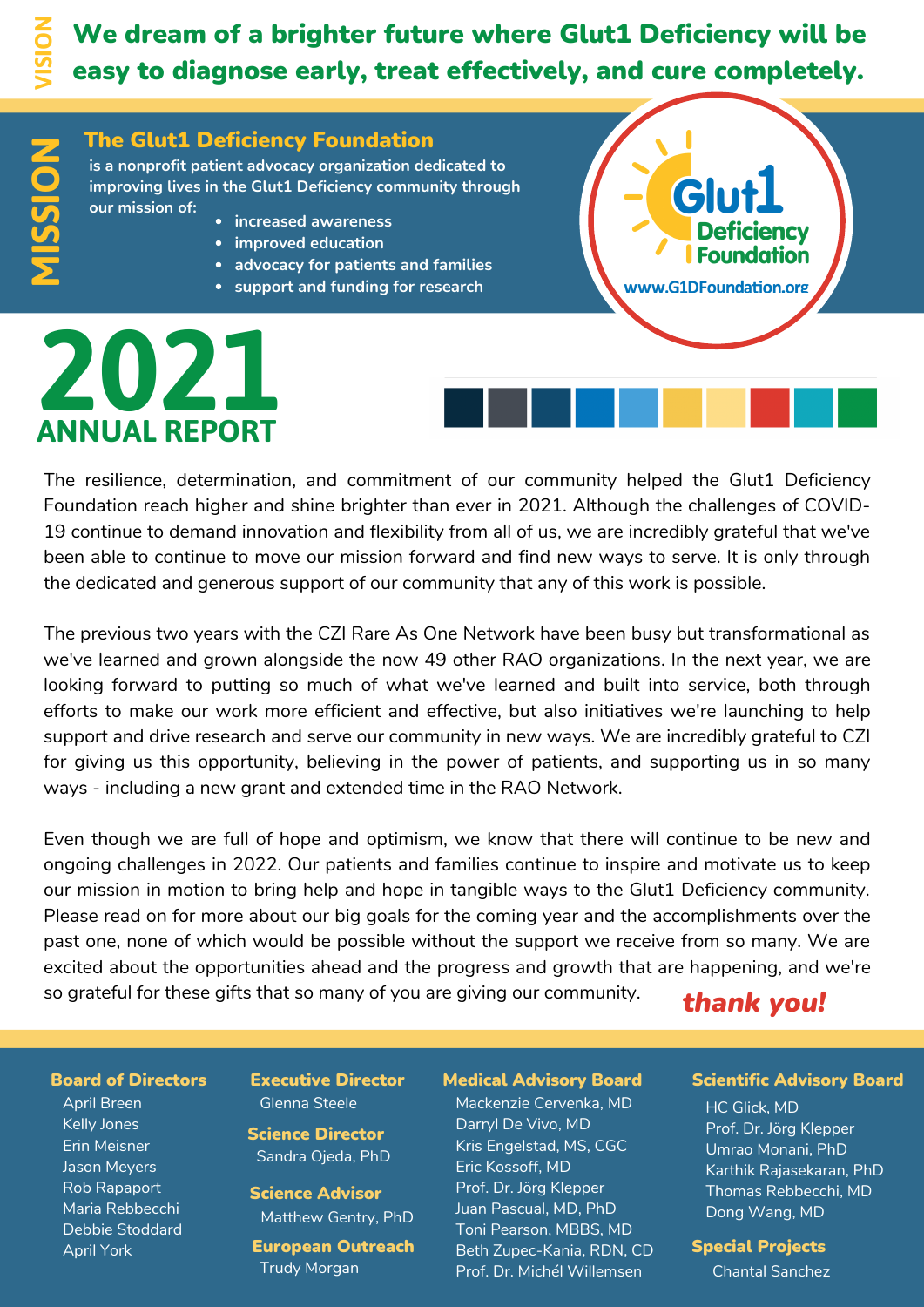**N**

<u> က</u>

# We dream of a brighter future where Glut1 Deficiency will be easy to diagnose early, treat effectively, and cure completely.

#### The Glut1 Deficiency Foundation

**is a nonprofit patient advocacy organization dedicated to improving lives in the Glut1 Deficiency community through our mission of: SIO**

- **increased awareness**
- **improved education**
- **•** advocacy for patients and families
- **support and funding for research**

# **ANNUAL REPORT 2021**

Glu **ency Foundation** www.G1DFoundation.org

#### The resilience, determination, and commitment of our community helped the Glut1 Deficiency Foundation reach higher and shine brighter than ever in 2021. Although the challenges of COVID-19 continue to demand innovation and flexibility from all of us, we are incredibly grateful that we've been able to continue to move our mission forward and find new ways to serve. It is only through the dedicated and generous support of our community that any of this work is possible.

The previous two years with the CZI Rare As One Network have been busy but transformational as we've learned and grown alongside the now 49 other RAO organizations. In the next year, we are looking forward to putting so much of what we've learned and built into service, both through efforts to make our work more efficient and effective, but also initiatives we're launching to help support and drive research and serve our community in new ways. We are incredibly grateful to CZI for giving us this opportunity, believing in the power of patients, and supporting us in so many ways - including a new grant and extended time in the RAO Network.

Even though we are full of hope and optimism, we know that there will continue to be new and ongoing challenges in 2022. Our patients and families continue to inspire and motivate us to keep our mission in motion to bring help and hope in tangible ways to the Glut1 Deficiency community. Please read on for more about our big goals for the coming year and the accomplishments over the past one, none of which would be possible without the support we receive from so many. We are excited about the opportunities ahead and the progress and growth that are happening, and we're so grateful for these gifts that so many of you are giving our community.

### *thank you!*

April Breen Kelly Jones Erin Meisner Jason Meyers Rob Rapaport Maria Rebbecchi Debbie Stoddard April York

Executive Director Glenna Steele

Science Director Sandra Ojeda, PhD

Science Advisor Matthew Gentry, PhD

European Outreach Trudy Morgan

Mackenzie Cervenka, MD Darryl De Vivo, MD Kris Engelstad, MS, CGC Eric Kossoff, MD Prof. Dr. Jörg Klepper Juan Pascual, MD, PhD Toni Pearson, MBBS, MD Beth Zupec-Kania, RDN, CD Prof. Dr. Michél Willemsen

#### Board of Directors Executive Director Medical Advisory Board Scientific Advisory Board

HC Glick, MD Prof. Dr. Jörg Klepper Umrao Monani, PhD Karthik Rajasekaran, PhD Thomas Rebbecchi, MD Dong Wang, MD

#### Special Projects

Chantal Sanchez